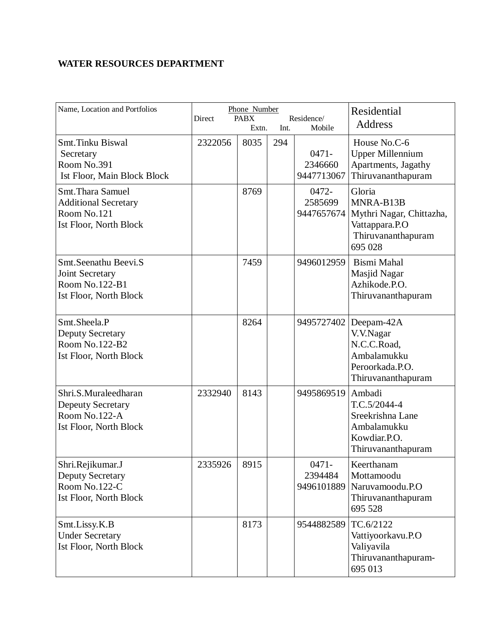## **WATER RESOURCES DEPARTMENT**

| Name, Location and Portfolios                                                                      | Phone Number<br>Direct<br><b>PABX</b><br>Residence/<br>Int.<br>Mobile<br>Extn. |      |     | Residential<br>Address            |                                                                                                    |
|----------------------------------------------------------------------------------------------------|--------------------------------------------------------------------------------|------|-----|-----------------------------------|----------------------------------------------------------------------------------------------------|
| <b>Smt.Tinku Biswal</b><br>Secretary<br>Room No.391<br>Ist Floor, Main Block Block                 | 2322056                                                                        | 8035 | 294 | $0471 -$<br>2346660<br>9447713067 | House No.C-6<br><b>Upper Millennium</b><br>Apartments, Jagathy<br>Thiruvananthapuram               |
| Smt. Thara Samuel<br><b>Additional Secretary</b><br>Room No.121<br><b>Ist Floor, North Block</b>   |                                                                                | 8769 |     | 0472-<br>2585699<br>9447657674    | Gloria<br>MNRA-B13B<br>Mythri Nagar, Chittazha,<br>Vattappara.P.O<br>Thiruvananthapuram<br>695 028 |
| Smt.Seenathu Beevi.S<br>Joint Secretary<br>Room No.122-B1<br><b>Ist Floor, North Block</b>         |                                                                                | 7459 |     | 9496012959                        | Bismi Mahal<br>Masjid Nagar<br>Azhikode.P.O.<br>Thiruvananthapuram                                 |
| Smt.Sheela.P<br><b>Deputy Secretary</b><br>Room No.122-B2<br><b>Ist Floor, North Block</b>         |                                                                                | 8264 |     | 9495727402                        | Deepam-42A<br>V.V.Nagar<br>N.C.C.Road,<br>Ambalamukku<br>Peroorkada.P.O.<br>Thiruvananthapuram     |
| Shri.S.Muraleedharan<br><b>Depeuty Secretary</b><br>Room No.122-A<br><b>Ist Floor, North Block</b> | 2332940                                                                        | 8143 |     | 9495869519                        | Ambadi<br>T.C.5/2044-4<br>Sreekrishna Lane<br>Ambalamukku<br>Kowdiar.P.O.<br>Thiruvananthapuram    |
| Shri.Rejikumar.J<br><b>Deputy Secretary</b><br>Room No.122-C<br><b>Ist Floor, North Block</b>      | 2335926                                                                        | 8915 |     | 0471-<br>2394484<br>9496101889    | Keerthanam<br>Mottamoodu<br>Naruvamoodu.P.O<br>Thiruvananthapuram<br>695 528                       |
| Smt.Lissy.K.B<br><b>Under Secretary</b><br><b>Ist Floor, North Block</b>                           |                                                                                | 8173 |     | 9544882589                        | TC.6/2122<br>Vattiyoorkavu.P.O<br>Valiyavila<br>Thiruvananthapuram-<br>695 013                     |